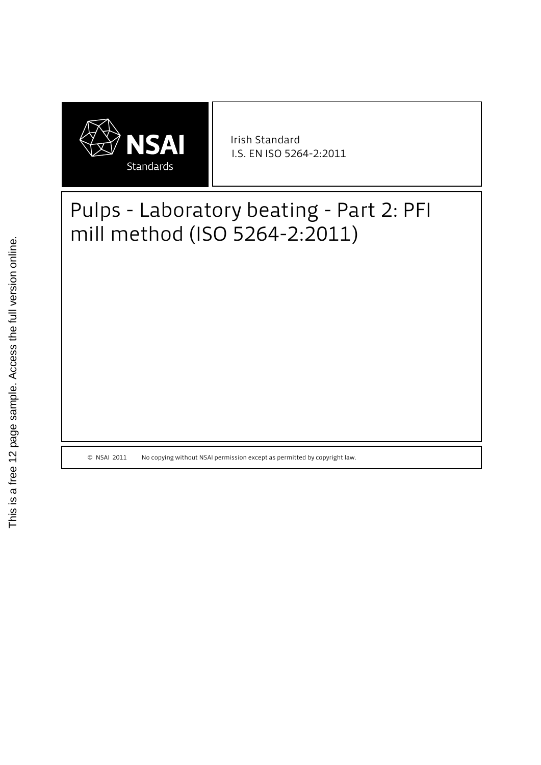

Irish Standard I.S. EN ISO 5264-2:2011

# Pulps - Laboratory beating - Part 2: PFI mill method (ISO 5264-2:2011)

© NSAI 2011 No copying without NSAI permission except as permitted by copyright law.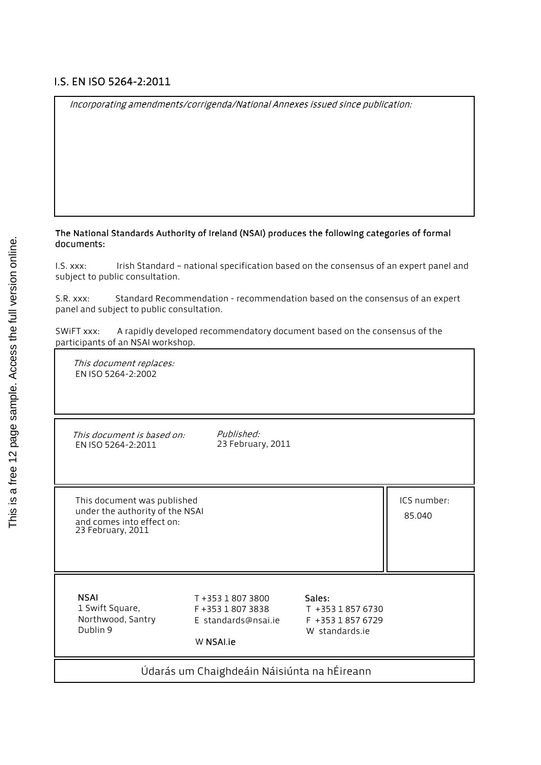### I.S. EN ISO 5264-2:2011

Incorporating amendments/corrigenda/National Annexes issued since publication:

#### The National Standards Authority of Ireland (NSAI) produces the following categories of formal documents:

I.S. xxx: Irish Standard - national specification based on the consensus of an expert panel and subject to public consultation.

S.R. xxx: Standard Recommendation - recommendation based on the consensus of an expert panel and subject to public consultation.

SWiFT xxx: A rapidly developed recommendatory document based on the consensus of the participants of an NSAI workshop.

This document replaces: EN ISO 5264-2:2002

This document is based on: EN ISO 5264-2:2011

Published: 23 February, 2011

23 February, 2011 This document was published under the authority of the NSAI and comes into effect on:

ICS number:

85.040

**NSAI** 1 Swift Square, Northwood, Santry Dublin 9

T +353 1 807 3800 F +353 1 807 3838 E standards@nsai.ie Sales: T +353 1 857 6730 F +353 1 857 6729 W standards.ie

W NSAl.ie

Údarás um Chaighdeáin Náisiúnta na hÉireann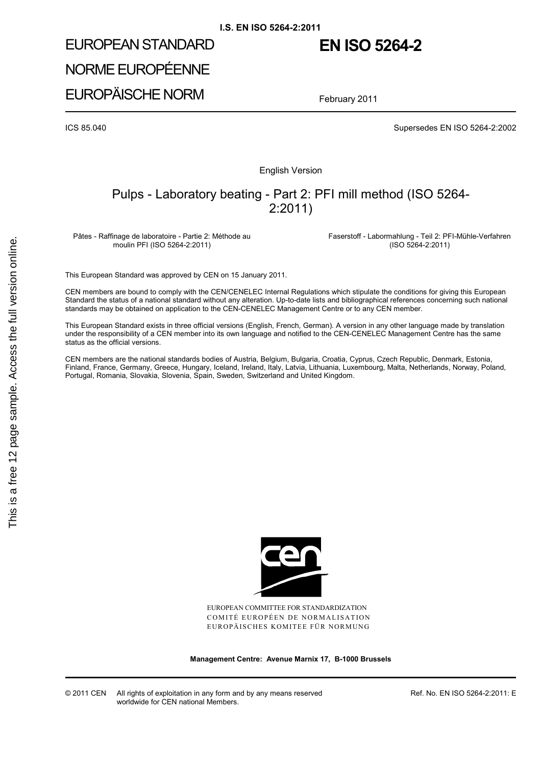## EUROPEAN STANDARD

## **EN ISO 5264-2**

# NORME EUROPÉENNE

## EUROPÄISCHE NORM

February 2011

ICS 85.040 Supersedes EN ISO 5264-2:2002

English Version

## Pulps - Laboratory beating - Part 2: PFI mill method (ISO 5264- 2:2011)

Pâtes - Raffinage de laboratoire - Partie 2: Méthode au moulin PFI (ISO 5264-2:2011)

 Faserstoff - Labormahlung - Teil 2: PFI-Mühle-Verfahren (ISO 5264-2:2011)

This European Standard was approved by CEN on 15 January 2011.

CEN members are bound to comply with the CEN/CENELEC Internal Regulations which stipulate the conditions for giving this European Standard the status of a national standard without any alteration. Up-to-date lists and bibliographical references concerning such national standards may be obtained on application to the CEN-CENELEC Management Centre or to any CEN member.

This European Standard exists in three official versions (English, French, German). A version in any other language made by translation under the responsibility of a CEN member into its own language and notified to the CEN-CENELEC Management Centre has the same status as the official versions.

CEN members are the national standards bodies of Austria, Belgium, Bulgaria, Croatia, Cyprus, Czech Republic, Denmark, Estonia, Finland, France, Germany, Greece, Hungary, Iceland, Ireland, Italy, Latvia, Lithuania, Luxembourg, Malta, Netherlands, Norway, Poland, Portugal, Romania, Slovakia, Slovenia, Spain, Sweden, Switzerland and United Kingdom.



EUROPEAN COMMITTEE FOR STANDARDIZATION COMITÉ EUROPÉEN DE NORMALISATION EUROPÄISCHES KOMITEE FÜR NORMUNG

**Management Centre: Avenue Marnix 17, B-1000 Brussels** 

© 2011 CEN All rights of exploitation in any form and by any means reserved worldwide for CEN national Members.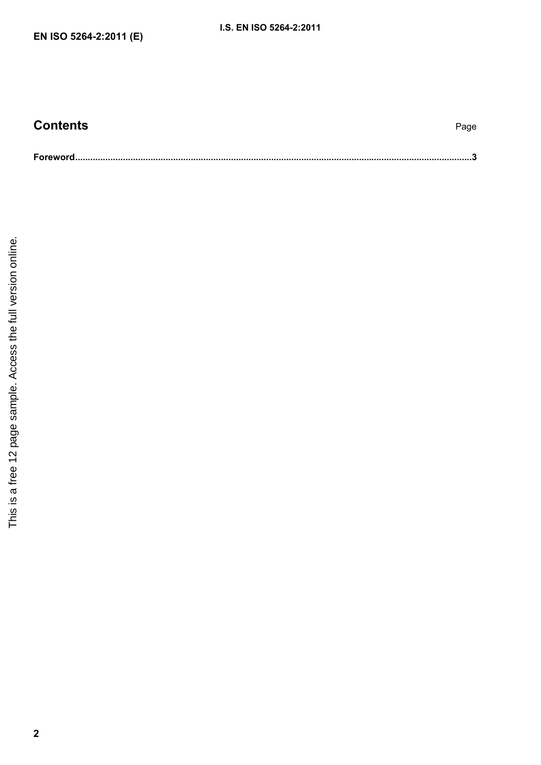## **Contents** Page

|--|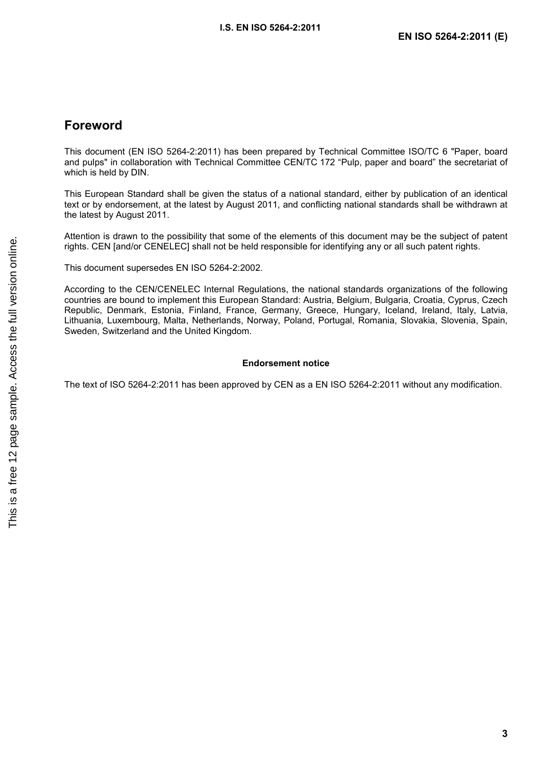### **Foreword**

This document (EN ISO 5264-2:2011) has been prepared by Technical Committee ISO/TC 6 "Paper, board and pulps" in collaboration with Technical Committee CEN/TC 172 "Pulp, paper and board" the secretariat of which is held by DIN.

This European Standard shall be given the status of a national standard, either by publication of an identical text or by endorsement, at the latest by August 2011, and conflicting national standards shall be withdrawn at the latest by August 2011.

Attention is drawn to the possibility that some of the elements of this document may be the subject of patent rights. CEN [and/or CENELEC] shall not be held responsible for identifying any or all such patent rights.

This document supersedes EN ISO 5264-2:2002.

According to the CEN/CENELEC Internal Regulations, the national standards organizations of the following countries are bound to implement this European Standard: Austria, Belgium, Bulgaria, Croatia, Cyprus, Czech Republic, Denmark, Estonia, Finland, France, Germany, Greece, Hungary, Iceland, Ireland, Italy, Latvia, Lithuania, Luxembourg, Malta, Netherlands, Norway, Poland, Portugal, Romania, Slovakia, Slovenia, Spain, Sweden, Switzerland and the United Kingdom.

#### **Endorsement notice**

The text of ISO 5264-2:2011 has been approved by CEN as a EN ISO 5264-2:2011 without any modification.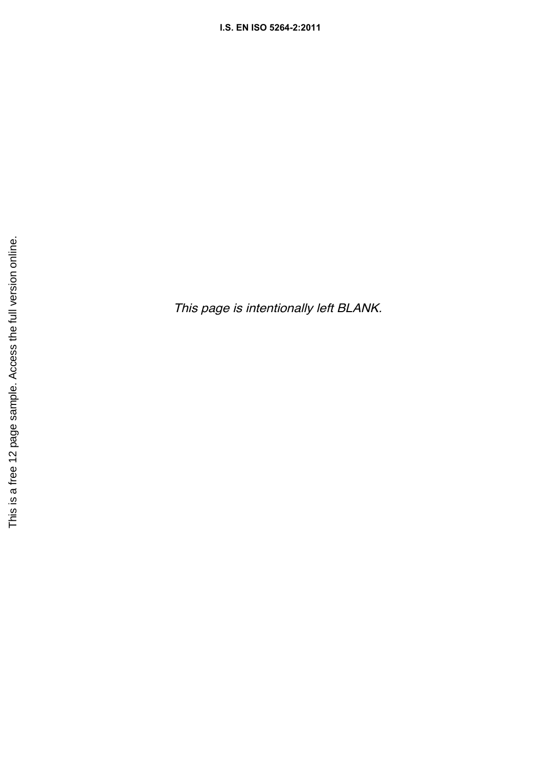This page is intentionally left BLANK.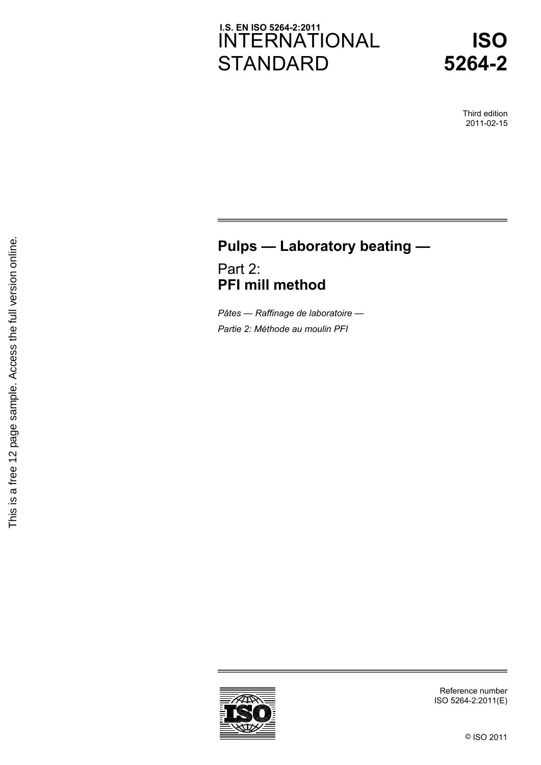## INTERNATIONAL **STANDARD I.S. EN ISO 5264-2:2011**

# **ISO 5264-2**

Third edition 2011-02-15

# **Pulps — Laboratory beating —**

Part 2: **PFI mill method** 

*Pâtes — Raffinage de laboratoire — Partie 2: Méthode au moulin PFI* 



Reference number ISO 5264-2:2011(E)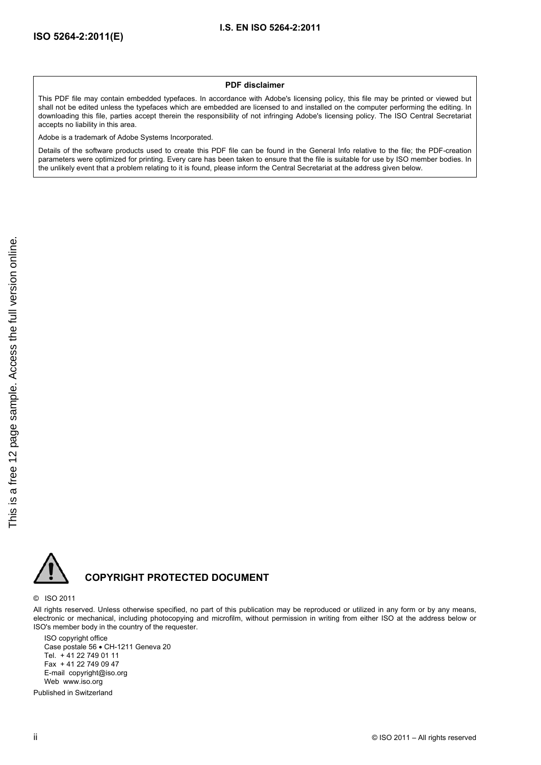#### **PDF disclaimer**

This PDF file may contain embedded typefaces. In accordance with Adobe's licensing policy, this file may be printed or viewed but shall not be edited unless the typefaces which are embedded are licensed to and installed on the computer performing the editing. In downloading this file, parties accept therein the responsibility of not infringing Adobe's licensing policy. The ISO Central Secretariat accepts no liability in this area.

Adobe is a trademark of Adobe Systems Incorporated.

Details of the software products used to create this PDF file can be found in the General Info relative to the file; the PDF-creation parameters were optimized for printing. Every care has been taken to ensure that the file is suitable for use by ISO member bodies. In the unlikely event that a problem relating to it is found, please inform the Central Secretariat at the address given below.



© ISO 2011

All rights reserved. Unless otherwise specified, no part of this publication may be reproduced or utilized in any form or by any means, electronic or mechanical, including photocopying and microfilm, without permission in writing from either ISO at the address below or ISO's member body in the country of the requester.

ISO copyright office Case postale 56 • CH-1211 Geneva 20 Tel. + 41 22 749 01 11 Fax + 41 22 749 09 47 E-mail copyright@iso.org Web www.iso.org

Published in Switzerland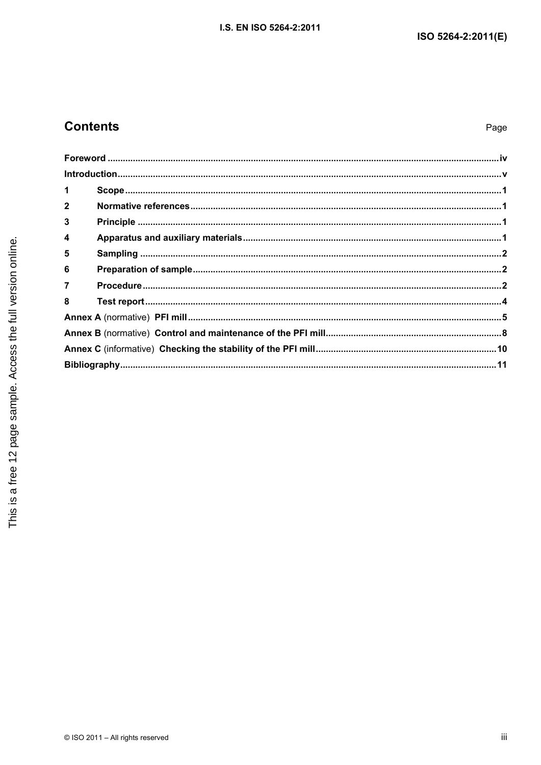### **Contents**

Page

| 1                |  |
|------------------|--|
| $\mathbf{2}$     |  |
| 3                |  |
| $\boldsymbol{4}$ |  |
| 5                |  |
| 6                |  |
| $\overline{7}$   |  |
| 8                |  |
|                  |  |
|                  |  |
|                  |  |
|                  |  |
|                  |  |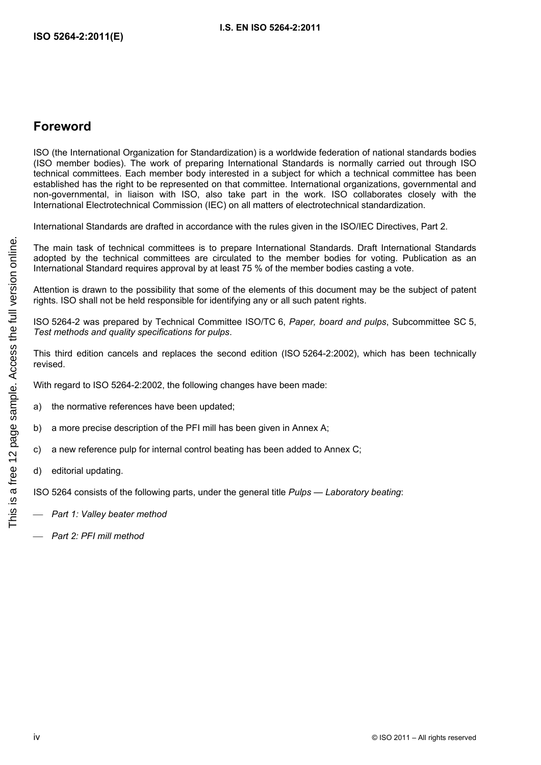## <span id="page-9-0"></span>**Foreword**

ISO (the International Organization for Standardization) is a worldwide federation of national standards bodies (ISO member bodies). The work of preparing International Standards is normally carried out through ISO technical committees. Each member body interested in a subject for which a technical committee has been established has the right to be represented on that committee. International organizations, governmental and non-governmental, in liaison with ISO, also take part in the work. ISO collaborates closely with the International Electrotechnical Commission (IEC) on all matters of electrotechnical standardization.

International Standards are drafted in accordance with the rules given in the ISO/IEC Directives, Part 2.

The main task of technical committees is to prepare International Standards. Draft International Standards adopted by the technical committees are circulated to the member bodies for voting. Publication as an International Standard requires approval by at least 75 % of the member bodies casting a vote.

Attention is drawn to the possibility that some of the elements of this document may be the subject of patent rights. ISO shall not be held responsible for identifying any or all such patent rights.

ISO 5264-2 was prepared by Technical Committee ISO/TC 6, *Paper, board and pulps*, Subcommittee SC 5, *Test methods and quality specifications for pulps*.

This third edition cancels and replaces the second edition (ISO 5264-2:2002), which has been technically revised.

With regard to ISO 5264-2:2002, the following changes have been made:

- a) the normative references have been updated;
- b) a more precise description of the PFI mill has been given in Annex A;
- c) a new reference pulp for internal control beating has been added to Annex C;
- d) editorial updating.

ISO 5264 consists of the following parts, under the general title *Pulps — Laboratory beating*:

- Part 1: Valley beater method
- ⎯ *Part 2: PFI mill method*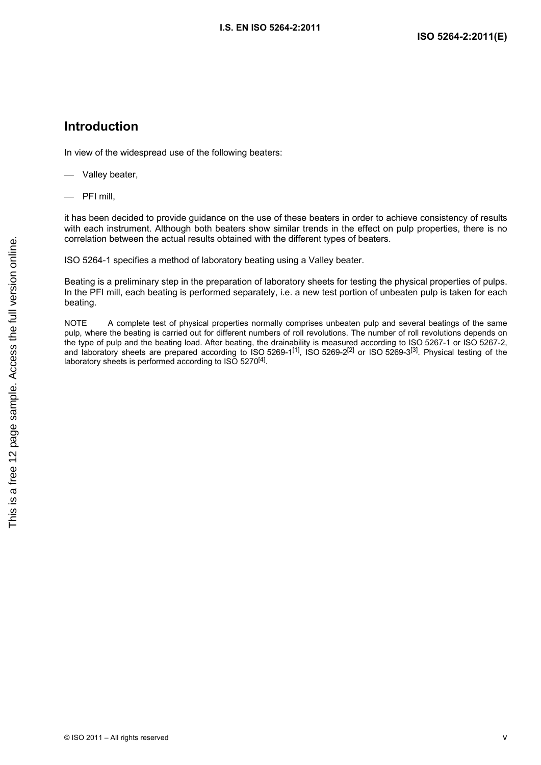### <span id="page-10-0"></span>**Introduction**

In view of the widespread use of the following beaters:

- Valley beater,
- PFI mill.

it has been decided to provide guidance on the use of these beaters in order to achieve consistency of results with each instrument. Although both beaters show similar trends in the effect on pulp properties, there is no correlation between the actual results obtained with the different types of beaters.

ISO 5264-1 specifies a method of laboratory beating using a Valley beater.

Beating is a preliminary step in the preparation of laboratory sheets for testing the physical properties of pulps. In the PFI mill, each beating is performed separately, i.e. a new test portion of unbeaten pulp is taken for each beating.

NOTE A complete test of physical properties normally comprises unbeaten pulp and several beatings of the same pulp, where the beating is carried out for different numbers of roll revolutions. The number of roll revolutions depends on the type of pulp and the beating load. After beating, the drainability is measured according to ISO 5267-1 or ISO 5267-2, and laboratory sheets are prepared according to ISO 5269-1<sup>[1]</sup>, ISO 5269-2<sup>[2]</sup> or ISO 5269-3<sup>[3]</sup>. Physical testing of the laboratory sheets is performed according to ISO 5270<sup>[4]</sup>.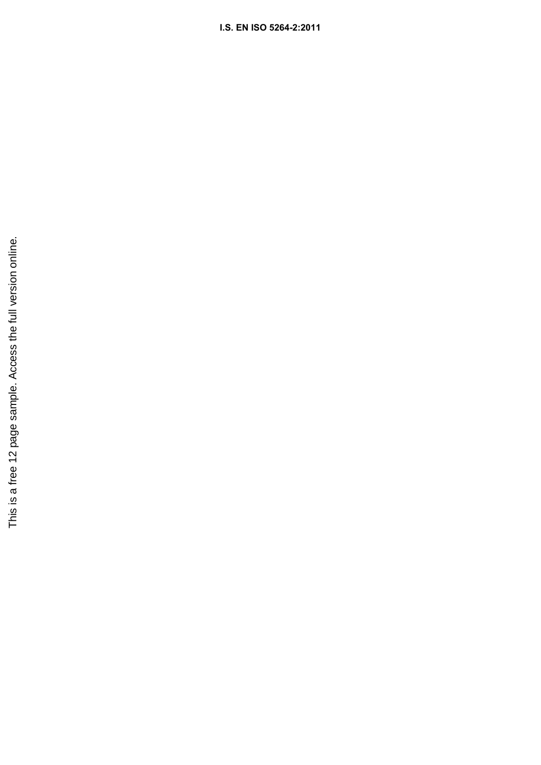**I.S. EN ISO 5264-2:2011**